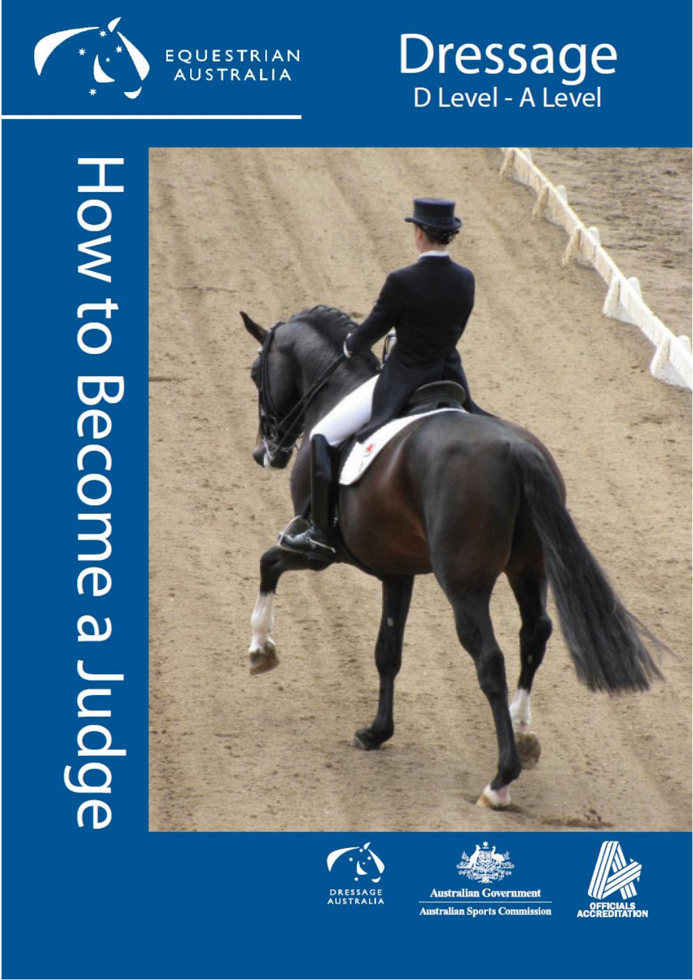

EQUESTRIAN<br>AUSTRALIA









**Australian Sports Commission** 

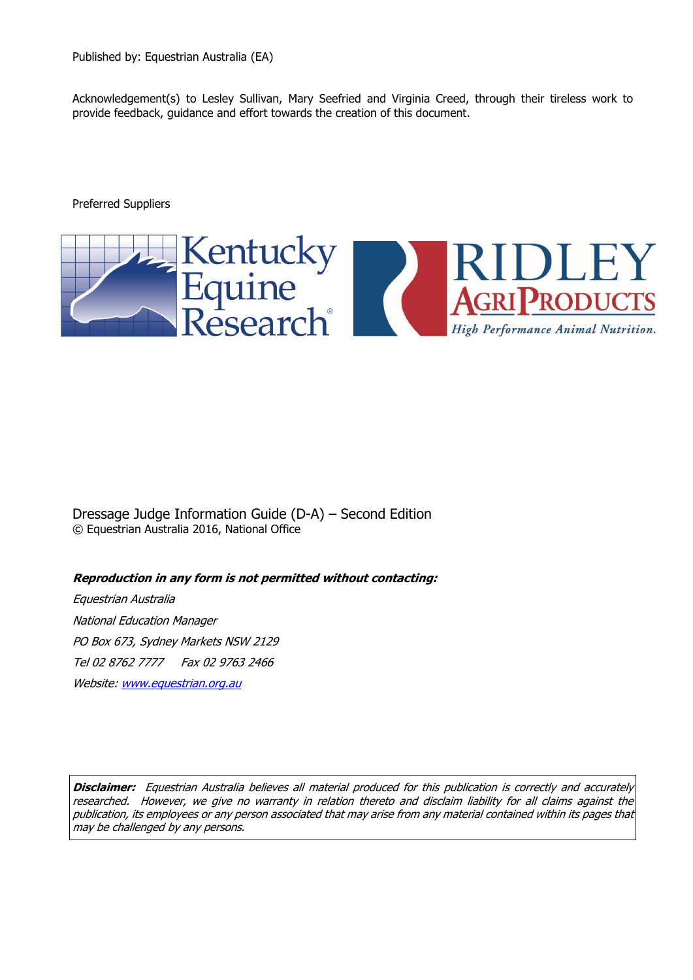Acknowledgement(s) to Lesley Sullivan, Mary Seefried and Virginia Creed, through their tireless work to provide feedback, guidance and effort towards the creation of this document.

Preferred Suppliers



Dressage Judge Information Guide (D-A) – Second Edition © Equestrian Australia 2016, National Office

**Reproduction in any form is not permitted without contacting:**

Equestrian Australia National Education Manager PO Box 673, Sydney Markets NSW 2129 Tel 02 8762 7777 Fax 02 9763 2466 Website: [www.equestrian.org.au](http://www.efanational.com/)

**Disclaimer:** Equestrian Australia believes all material produced for this publication is correctly and accurately researched. However, we give no warranty in relation thereto and disclaim liability for all claims against the publication, its employees or any person associated that may arise from any material contained within its pages that may be challenged by any persons.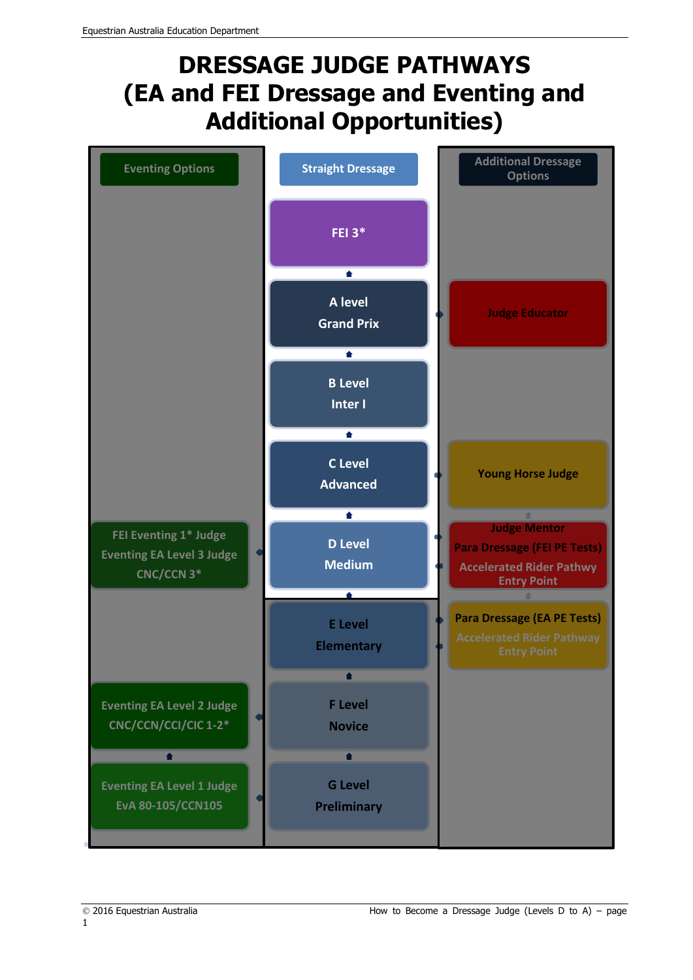## **DRESSAGE JUDGE PATHWAYS (EA and FEI Dressage and Eventing and Additional Opportunities)**

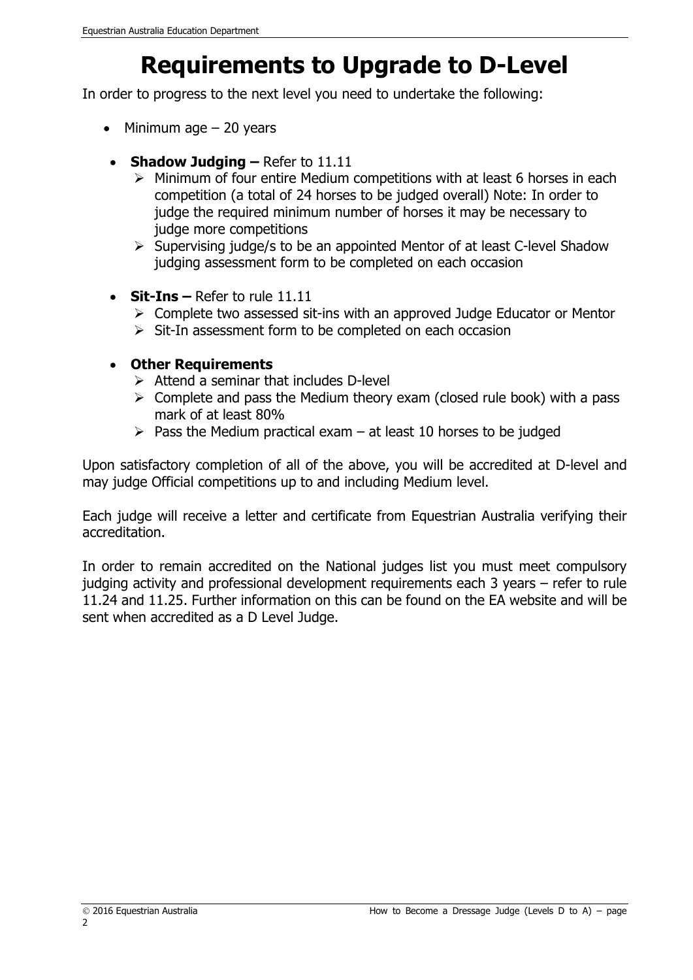## **Requirements to Upgrade to D-Level**

In order to progress to the next level you need to undertake the following:

- $\bullet$  Minimum age  $-$  20 years
- **Shadow Judging** Refer to 11.11
	- $\triangleright$  Minimum of four entire Medium competitions with at least 6 horses in each competition (a total of 24 horses to be judged overall) Note: In order to judge the required minimum number of horses it may be necessary to judge more competitions
	- $\triangleright$  Supervising judge/s to be an appointed Mentor of at least C-level Shadow judging assessment form to be completed on each occasion
- **Sit-Ins –** Refer to rule 11.11
	- $\triangleright$  Complete two assessed sit-ins with an approved Judge Educator or Mentor
	- $\triangleright$  Sit-In assessment form to be completed on each occasion

#### **Other Requirements**

- $\triangleright$  Attend a seminar that includes D-level
- $\triangleright$  Complete and pass the Medium theory exam (closed rule book) with a pass mark of at least 80%
- $\triangleright$  Pass the Medium practical exam at least 10 horses to be judged

Upon satisfactory completion of all of the above, you will be accredited at D-level and may judge Official competitions up to and including Medium level.

Each judge will receive a letter and certificate from Equestrian Australia verifying their accreditation.

In order to remain accredited on the National judges list you must meet compulsory judging activity and professional development requirements each 3 years – refer to rule 11.24 and 11.25. Further information on this can be found on the EA website and will be sent when accredited as a D Level Judge.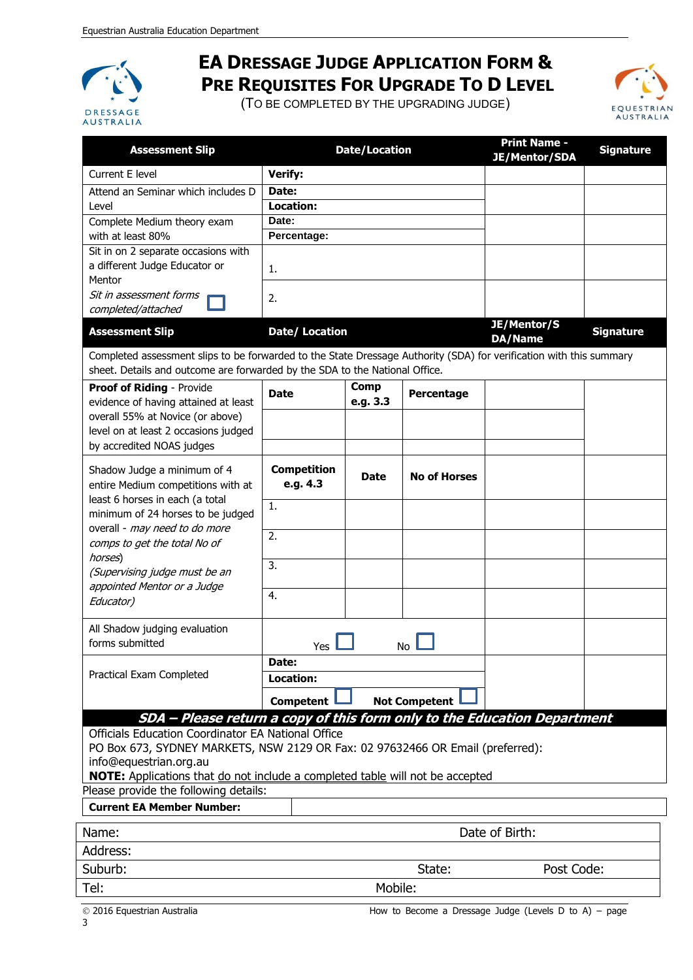

### **EA DRESSAGE JUDGE APPLICATION FORM & PRE REQUISITES FOR UPGRADE TO D LEVEL**

(TO BE COMPLETED BY THE UPGRADING JUDGE)



| <b>Assessment Slip</b>                                                                                                                                                                             |                                | <b>Date/Location</b>    |                     | <b>Print Name -</b><br><b>JE/Mentor/SDA</b> | <b>Signature</b> |
|----------------------------------------------------------------------------------------------------------------------------------------------------------------------------------------------------|--------------------------------|-------------------------|---------------------|---------------------------------------------|------------------|
| Current E level                                                                                                                                                                                    | <b>Verify:</b>                 |                         |                     |                                             |                  |
| Attend an Seminar which includes D                                                                                                                                                                 | Date:                          |                         |                     |                                             |                  |
| Level                                                                                                                                                                                              | <b>Location:</b>               |                         |                     |                                             |                  |
| Complete Medium theory exam                                                                                                                                                                        | Date:                          |                         |                     |                                             |                  |
| with at least 80%                                                                                                                                                                                  | Percentage:                    |                         |                     |                                             |                  |
| Sit in on 2 separate occasions with<br>a different Judge Educator or<br>Mentor                                                                                                                     | 1.                             |                         |                     |                                             |                  |
| Sit in assessment forms<br>completed/attached                                                                                                                                                      | 2.                             |                         |                     |                                             |                  |
| <b>Assessment Slip</b>                                                                                                                                                                             | Date/ Location                 |                         |                     | JE/Mentor/S<br>DA/Name                      | <b>Signature</b> |
| Completed assessment slips to be forwarded to the State Dressage Authority (SDA) for verification with this summary<br>sheet. Details and outcome are forwarded by the SDA to the National Office. |                                |                         |                     |                                             |                  |
| Proof of Riding - Provide<br>evidence of having attained at least                                                                                                                                  | <b>Date</b>                    | <b>Comp</b><br>e.g. 3.3 | Percentage          |                                             |                  |
| overall 55% at Novice (or above)                                                                                                                                                                   |                                |                         |                     |                                             |                  |
| level on at least 2 occasions judged<br>by accredited NOAS judges                                                                                                                                  |                                |                         |                     |                                             |                  |
|                                                                                                                                                                                                    |                                |                         |                     |                                             |                  |
| Shadow Judge a minimum of 4<br>entire Medium competitions with at                                                                                                                                  | <b>Competition</b><br>e.g. 4.3 | <b>Date</b>             | <b>No of Horses</b> |                                             |                  |
| least 6 horses in each (a total<br>minimum of 24 horses to be judged                                                                                                                               | 1.                             |                         |                     |                                             |                  |
| overall - may need to do more                                                                                                                                                                      |                                |                         |                     |                                             |                  |
| comps to get the total No of                                                                                                                                                                       | $\overline{2}$ .               |                         |                     |                                             |                  |
| horses)                                                                                                                                                                                            | 3.                             |                         |                     |                                             |                  |
| (Supervising judge must be an                                                                                                                                                                      |                                |                         |                     |                                             |                  |
| appointed Mentor or a Judge                                                                                                                                                                        | 4.                             |                         |                     |                                             |                  |
| Educator)                                                                                                                                                                                          |                                |                         |                     |                                             |                  |
| All Shadow judging evaluation<br>forms submitted                                                                                                                                                   | Yes<br>No.                     |                         |                     |                                             |                  |
|                                                                                                                                                                                                    | Date:                          |                         |                     |                                             |                  |
| Practical Exam Completed                                                                                                                                                                           | Location:                      |                         |                     |                                             |                  |
|                                                                                                                                                                                                    |                                |                         |                     |                                             |                  |
| <b>Competent</b><br><b>Not Competent</b><br>SDA - Please return a copy of this form only to the Education Department                                                                               |                                |                         |                     |                                             |                  |
| Officials Education Coordinator EA National Office                                                                                                                                                 |                                |                         |                     |                                             |                  |
|                                                                                                                                                                                                    |                                |                         |                     |                                             |                  |
| PO Box 673, SYDNEY MARKETS, NSW 2129 OR Fax: 02 97632466 OR Email (preferred):<br>info@equestrian.org.au                                                                                           |                                |                         |                     |                                             |                  |
| NOTE: Applications that do not include a completed table will not be accepted                                                                                                                      |                                |                         |                     |                                             |                  |
| Please provide the following details:                                                                                                                                                              |                                |                         |                     |                                             |                  |
| <b>Current EA Member Number:</b>                                                                                                                                                                   |                                |                         |                     |                                             |                  |
| Name:                                                                                                                                                                                              |                                |                         |                     | Date of Birth:                              |                  |
| Address:                                                                                                                                                                                           |                                |                         |                     |                                             |                  |
| Suburb:                                                                                                                                                                                            |                                |                         | State:              | Post Code:                                  |                  |
| Tel:                                                                                                                                                                                               |                                | Mobile:                 |                     |                                             |                  |
|                                                                                                                                                                                                    |                                |                         |                     |                                             |                  |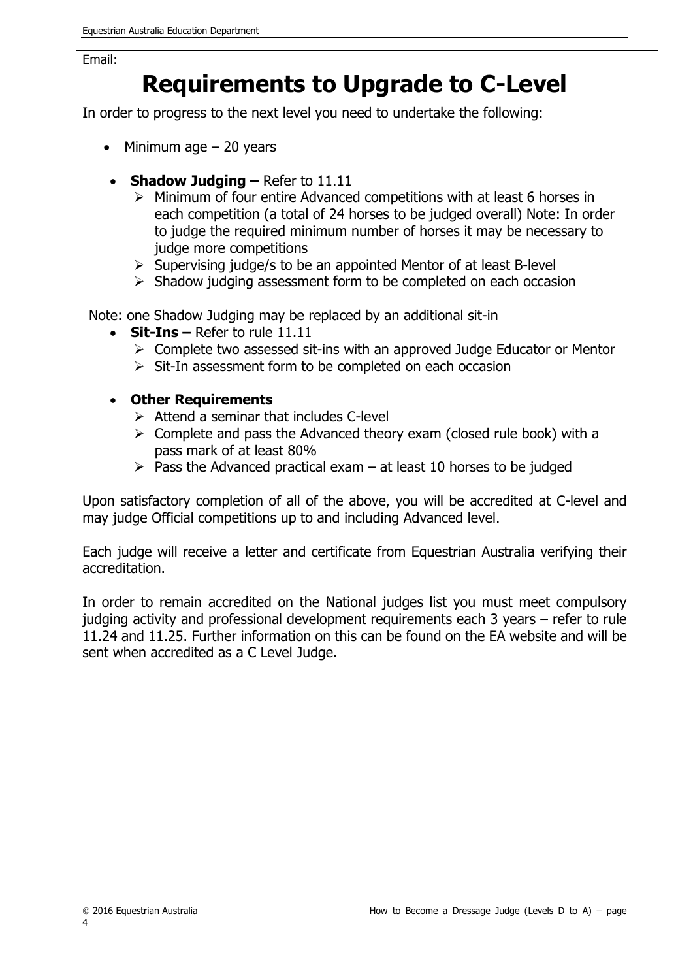### **Requirements to Upgrade to C-Level**

In order to progress to the next level you need to undertake the following:

- $\bullet$  Minimum age  $-$  20 years
- **Shadow Judging** Refer to 11.11
	- $\triangleright$  Minimum of four entire Advanced competitions with at least 6 horses in each competition (a total of 24 horses to be judged overall) Note: In order to judge the required minimum number of horses it may be necessary to judge more competitions
	- $\triangleright$  Supervising judge/s to be an appointed Mentor of at least B-level
	- $\triangleright$  Shadow judging assessment form to be completed on each occasion

Note: one Shadow Judging may be replaced by an additional sit-in

- **Sit-Ins –** Refer to rule 11.11
	- $\triangleright$  Complete two assessed sit-ins with an approved Judge Educator or Mentor
	- $\triangleright$  Sit-In assessment form to be completed on each occasion
- **Other Requirements**
	- $\triangleright$  Attend a seminar that includes C-level
	- $\triangleright$  Complete and pass the Advanced theory exam (closed rule book) with a pass mark of at least 80%
	- $\triangleright$  Pass the Advanced practical exam at least 10 horses to be judged

Upon satisfactory completion of all of the above, you will be accredited at C-level and may judge Official competitions up to and including Advanced level.

Each judge will receive a letter and certificate from Equestrian Australia verifying their accreditation.

In order to remain accredited on the National judges list you must meet compulsory judging activity and professional development requirements each 3 years – refer to rule 11.24 and 11.25. Further information on this can be found on the EA website and will be sent when accredited as a C Level Judge.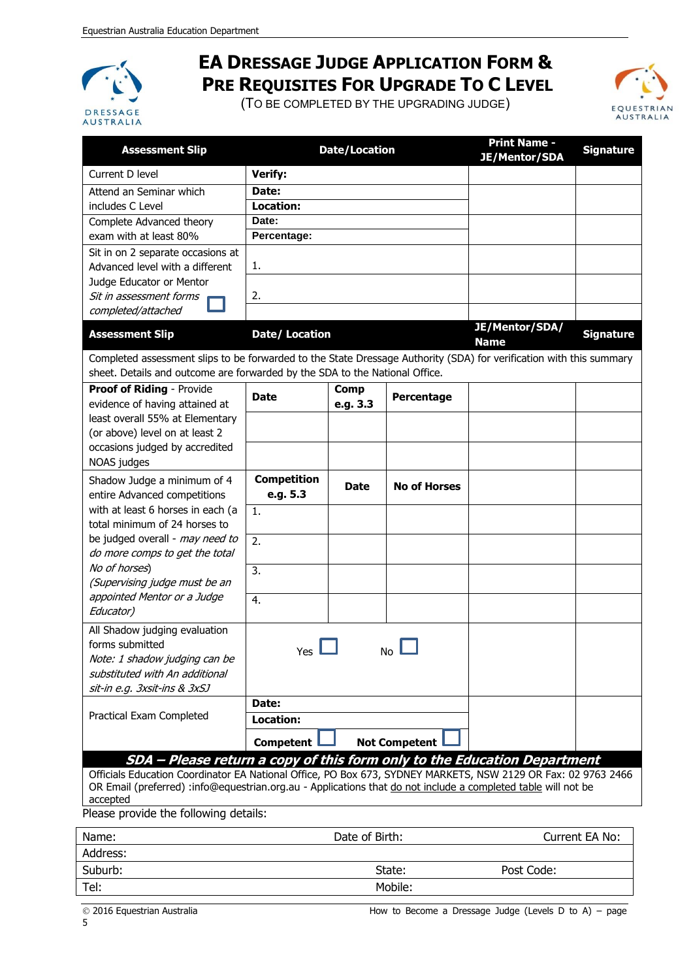

### **EA DRESSAGE JUDGE APPLICATION FORM & PRE REQUISITES FOR UPGRADE TO C LEVEL**

(TO BE COMPLETED BY THE UPGRADING JUDGE)



| <b>Assessment Slip</b>                                                                                              | <b>Date/Location</b>  |             |                      | <b>Print Name -</b><br><b>JE/Mentor/SDA</b> | <b>Signature</b> |
|---------------------------------------------------------------------------------------------------------------------|-----------------------|-------------|----------------------|---------------------------------------------|------------------|
| Current D level                                                                                                     | Verify:               |             |                      |                                             |                  |
| Attend an Seminar which                                                                                             | Date:                 |             |                      |                                             |                  |
| includes C Level                                                                                                    | <b>Location:</b>      |             |                      |                                             |                  |
| Complete Advanced theory                                                                                            | Date:                 |             |                      |                                             |                  |
| exam with at least 80%                                                                                              | Percentage:           |             |                      |                                             |                  |
| Sit in on 2 separate occasions at                                                                                   |                       |             |                      |                                             |                  |
| Advanced level with a different                                                                                     | 1.                    |             |                      |                                             |                  |
| Judge Educator or Mentor                                                                                            |                       |             |                      |                                             |                  |
| Sit in assessment forms                                                                                             | 2.                    |             |                      |                                             |                  |
| completed/attached                                                                                                  |                       |             |                      |                                             |                  |
| <b>Assessment Slip</b>                                                                                              | <b>Date/ Location</b> |             |                      | JE/Mentor/SDA/<br><b>Name</b>               | <b>Signature</b> |
| Completed assessment slips to be forwarded to the State Dressage Authority (SDA) for verification with this summary |                       |             |                      |                                             |                  |
| sheet. Details and outcome are forwarded by the SDA to the National Office.                                         |                       |             |                      |                                             |                  |
| Proof of Riding - Provide                                                                                           | <b>Date</b>           | <b>Comp</b> | Percentage           |                                             |                  |
| evidence of having attained at                                                                                      |                       | e.g. 3.3    |                      |                                             |                  |
| least overall 55% at Elementary                                                                                     |                       |             |                      |                                             |                  |
| (or above) level on at least 2                                                                                      |                       |             |                      |                                             |                  |
| occasions judged by accredited                                                                                      |                       |             |                      |                                             |                  |
| NOAS judges                                                                                                         |                       |             |                      |                                             |                  |
| Shadow Judge a minimum of 4                                                                                         | <b>Competition</b>    | <b>Date</b> | <b>No of Horses</b>  |                                             |                  |
| entire Advanced competitions                                                                                        | e.g. 5.3              |             |                      |                                             |                  |
| with at least 6 horses in each (a<br>total minimum of 24 horses to                                                  | 1.                    |             |                      |                                             |                  |
| be judged overall - may need to                                                                                     |                       |             |                      |                                             |                  |
| do more comps to get the total                                                                                      | 2.                    |             |                      |                                             |                  |
| No of horses)                                                                                                       | 3.                    |             |                      |                                             |                  |
| (Supervising judge must be an                                                                                       |                       |             |                      |                                             |                  |
| appointed Mentor or a Judge                                                                                         | 4.                    |             |                      |                                             |                  |
| Educator)                                                                                                           |                       |             |                      |                                             |                  |
| All Shadow judging evaluation                                                                                       |                       |             |                      |                                             |                  |
| forms submitted                                                                                                     | Yes                   |             | No.                  |                                             |                  |
| Note: 1 shadow judging can be                                                                                       |                       |             |                      |                                             |                  |
| substituted with An additional                                                                                      |                       |             |                      |                                             |                  |
| sit-in e.g. 3xsit-ins & 3xSJ                                                                                        |                       |             |                      |                                             |                  |
|                                                                                                                     | Date:                 |             |                      |                                             |                  |
| Practical Exam Completed                                                                                            | Location:             |             |                      |                                             |                  |
|                                                                                                                     | <b>Competent</b>      |             | <b>Not Competent</b> |                                             |                  |
| SDA - Please return a copy of this form only to the Education Department                                            |                       |             |                      |                                             |                  |

Officials Education Coordinator EA National Office, PO Box 673, SYDNEY MARKETS, NSW 2129 OR Fax: 02 9763 2466 OR Email (preferred) :info@equestrian.org.au - Applications that do not include a completed table will not be accepted

Please provide the following details:

| Name:    | Date of Birth: | Current EA No: |  |
|----------|----------------|----------------|--|
| Address: |                |                |  |
| Suburb:  | State:         | Post Code:     |  |
| Tel:     | Mobile:        |                |  |
|          |                |                |  |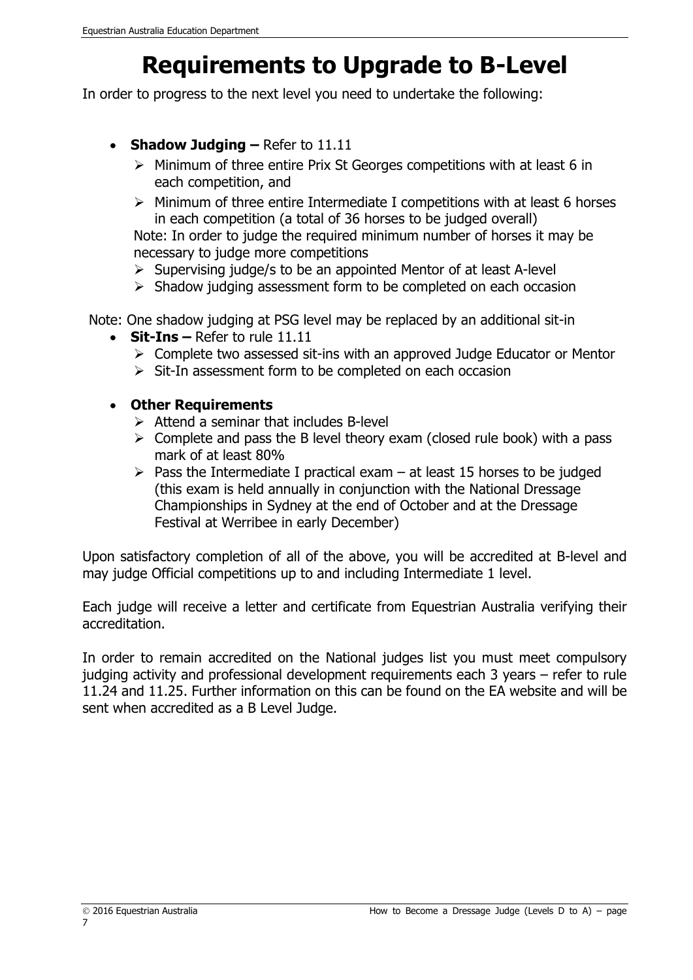## **Requirements to Upgrade to B-Level**

In order to progress to the next level you need to undertake the following:

- **Shadow Judging –** Refer to 11.11
	- $\triangleright$  Minimum of three entire Prix St Georges competitions with at least 6 in each competition, and
	- $\triangleright$  Minimum of three entire Intermediate I competitions with at least 6 horses in each competition (a total of 36 horses to be judged overall)

Note: In order to judge the required minimum number of horses it may be necessary to judge more competitions

- $\triangleright$  Supervising judge/s to be an appointed Mentor of at least A-level
- $\triangleright$  Shadow judging assessment form to be completed on each occasion

Note: One shadow judging at PSG level may be replaced by an additional sit-in

- **Sit-Ins –** Refer to rule 11.11
	- $\triangleright$  Complete two assessed sit-ins with an approved Judge Educator or Mentor
	- $\triangleright$  Sit-In assessment form to be completed on each occasion

#### **Other Requirements**

- $\triangleright$  Attend a seminar that includes B-level
- $\triangleright$  Complete and pass the B level theory exam (closed rule book) with a pass mark of at least 80%
- $\triangleright$  Pass the Intermediate I practical exam at least 15 horses to be judged (this exam is held annually in conjunction with the National Dressage Championships in Sydney at the end of October and at the Dressage Festival at Werribee in early December)

Upon satisfactory completion of all of the above, you will be accredited at B-level and may judge Official competitions up to and including Intermediate 1 level.

Each judge will receive a letter and certificate from Equestrian Australia verifying their accreditation.

In order to remain accredited on the National judges list you must meet compulsory judging activity and professional development requirements each 3 years – refer to rule 11.24 and 11.25. Further information on this can be found on the EA website and will be sent when accredited as a B Level Judge.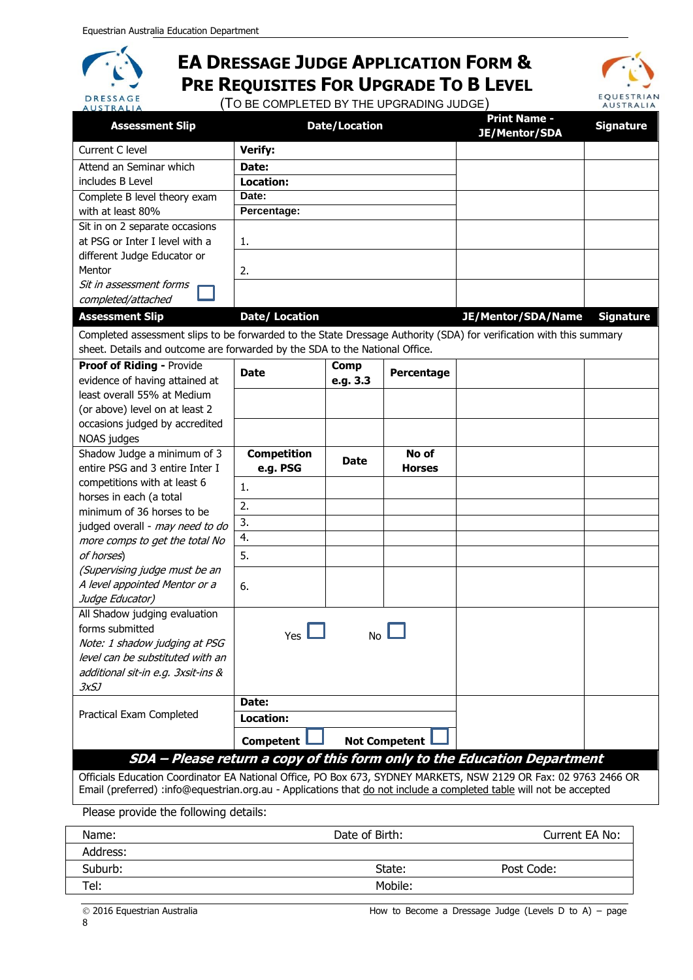**DRESSAGE** 

### **EA DRESSAGE JUDGE APPLICATION FORM & PRE REQUISITES FOR UPGRADE TO B LEVEL**

(TO BE COMPLETED BY THE UPGRADING JUDGE)



| <b>AUSIKALIA</b><br><b>Assessment Slip</b>                                                                          |                       | <b>Date/Location</b> |                      | <b>Print Name -</b><br><b>JE/Mentor/SDA</b>                              | <b>Signature</b> |
|---------------------------------------------------------------------------------------------------------------------|-----------------------|----------------------|----------------------|--------------------------------------------------------------------------|------------------|
| Current C level                                                                                                     | <b>Verify:</b>        |                      |                      |                                                                          |                  |
| Attend an Seminar which                                                                                             | Date:                 |                      |                      |                                                                          |                  |
| includes B Level                                                                                                    | Location:             |                      |                      |                                                                          |                  |
| Complete B level theory exam                                                                                        | Date:                 |                      |                      |                                                                          |                  |
| with at least 80%                                                                                                   | Percentage:           |                      |                      |                                                                          |                  |
| Sit in on 2 separate occasions                                                                                      |                       |                      |                      |                                                                          |                  |
| at PSG or Inter I level with a                                                                                      | 1.                    |                      |                      |                                                                          |                  |
| different Judge Educator or                                                                                         |                       |                      |                      |                                                                          |                  |
| Mentor                                                                                                              | 2.                    |                      |                      |                                                                          |                  |
| Sit in assessment forms                                                                                             |                       |                      |                      |                                                                          |                  |
| completed/attached                                                                                                  |                       |                      |                      |                                                                          |                  |
| <b>Assessment Slip</b>                                                                                              | <b>Date/ Location</b> |                      |                      | JE/Mentor/SDA/Name                                                       | <b>Signature</b> |
| Completed assessment slips to be forwarded to the State Dressage Authority (SDA) for verification with this summary |                       |                      |                      |                                                                          |                  |
| sheet. Details and outcome are forwarded by the SDA to the National Office.                                         |                       |                      |                      |                                                                          |                  |
| Proof of Riding - Provide                                                                                           | <b>Date</b>           | <b>Comp</b>          | Percentage           |                                                                          |                  |
| evidence of having attained at                                                                                      |                       | e.g. 3.3             |                      |                                                                          |                  |
| least overall 55% at Medium                                                                                         |                       |                      |                      |                                                                          |                  |
| (or above) level on at least 2                                                                                      |                       |                      |                      |                                                                          |                  |
| occasions judged by accredited                                                                                      |                       |                      |                      |                                                                          |                  |
| NOAS judges                                                                                                         |                       |                      |                      |                                                                          |                  |
|                                                                                                                     |                       |                      |                      |                                                                          |                  |
| Shadow Judge a minimum of 3                                                                                         | <b>Competition</b>    | <b>Date</b>          | No of                |                                                                          |                  |
| entire PSG and 3 entire Inter I                                                                                     | e.g. PSG              |                      | <b>Horses</b>        |                                                                          |                  |
| competitions with at least 6                                                                                        | 1.                    |                      |                      |                                                                          |                  |
| horses in each (a total                                                                                             | 2.                    |                      |                      |                                                                          |                  |
| minimum of 36 horses to be                                                                                          | 3.                    |                      |                      |                                                                          |                  |
| judged overall - may need to do                                                                                     | 4.                    |                      |                      |                                                                          |                  |
| more comps to get the total No                                                                                      |                       |                      |                      |                                                                          |                  |
| of horses)                                                                                                          | 5.                    |                      |                      |                                                                          |                  |
| (Supervising judge must be an<br>A level appointed Mentor or a                                                      |                       |                      |                      |                                                                          |                  |
| Judge Educator)                                                                                                     | 6.                    |                      |                      |                                                                          |                  |
| All Shadow judging evaluation                                                                                       |                       |                      |                      |                                                                          |                  |
| forms submitted                                                                                                     |                       |                      |                      |                                                                          |                  |
| Note: 1 shadow judging at PSG                                                                                       | $Yes$ $\Box$          |                      | No L                 |                                                                          |                  |
| level can be substituted with an                                                                                    |                       |                      |                      |                                                                          |                  |
| additional sit-in e.g. 3xsit-ins &                                                                                  |                       |                      |                      |                                                                          |                  |
| <i>3xSJ</i>                                                                                                         |                       |                      |                      |                                                                          |                  |
|                                                                                                                     | Date:                 |                      |                      |                                                                          |                  |
| Practical Exam Completed                                                                                            | Location:             |                      |                      |                                                                          |                  |
|                                                                                                                     | <b>Competent</b>      |                      | <b>Not Competent</b> |                                                                          |                  |
|                                                                                                                     |                       |                      |                      | SDA - Please return a copy of this form only to the Education Department |                  |

Officials Education Coordinator EA National Office, PO Box 673, SYDNEY MARKETS, NSW 2129 OR Fax: 02 9763 2466 OR Email (preferred) :info@equestrian.org.au - Applications that do not include a completed table will not be accepted

Please provide the following details:

| Name:    | Date of Birth: | Current EA No: |
|----------|----------------|----------------|
| Address: |                |                |
| Suburb:  | State:         | Post Code:     |
| Tel:     | Mobile:        |                |
|          |                |                |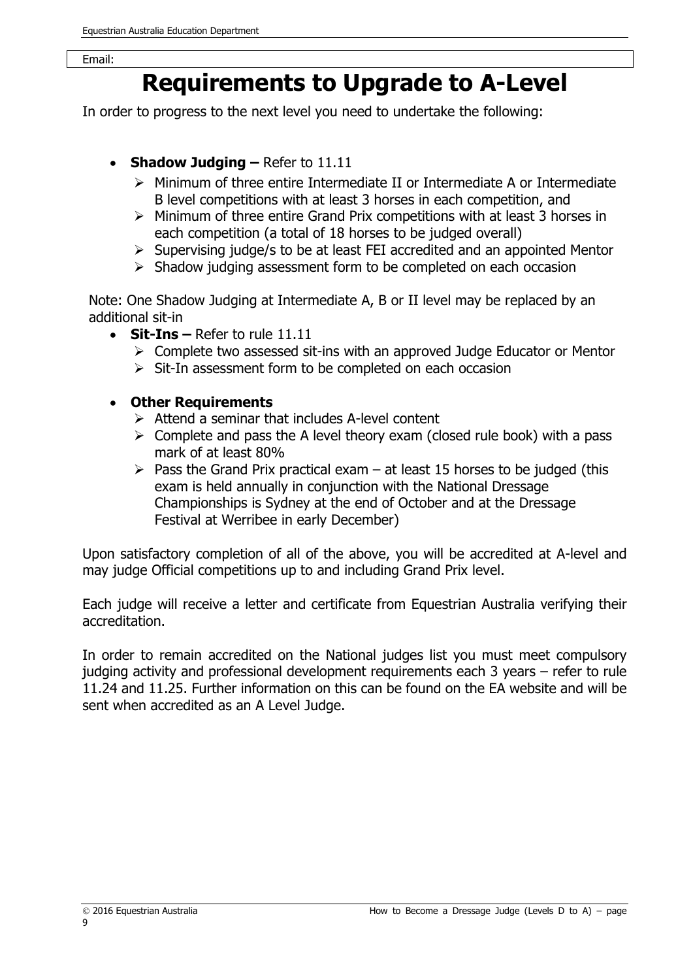### **Requirements to Upgrade to A-Level**

In order to progress to the next level you need to undertake the following:

- **Shadow Judging –** Refer to 11.11
	- $\triangleright$  Minimum of three entire Intermediate II or Intermediate A or Intermediate B level competitions with at least 3 horses in each competition, and
	- $\triangleright$  Minimum of three entire Grand Prix competitions with at least 3 horses in each competition (a total of 18 horses to be judged overall)
	- $\triangleright$  Supervising judge/s to be at least FEI accredited and an appointed Mentor
	- $\triangleright$  Shadow judging assessment form to be completed on each occasion

Note: One Shadow Judging at Intermediate A, B or II level may be replaced by an additional sit-in

- **Sit-Ins –** Refer to rule 11.11
	- $\triangleright$  Complete two assessed sit-ins with an approved Judge Educator or Mentor
	- $\triangleright$  Sit-In assessment form to be completed on each occasion
- **Other Requirements**
	- $\triangleright$  Attend a seminar that includes A-level content
	- $\triangleright$  Complete and pass the A level theory exam (closed rule book) with a pass mark of at least 80%
	- $\triangleright$  Pass the Grand Prix practical exam at least 15 horses to be judged (this exam is held annually in conjunction with the National Dressage Championships is Sydney at the end of October and at the Dressage Festival at Werribee in early December)

Upon satisfactory completion of all of the above, you will be accredited at A-level and may judge Official competitions up to and including Grand Prix level.

Each judge will receive a letter and certificate from Equestrian Australia verifying their accreditation.

In order to remain accredited on the National judges list you must meet compulsory judging activity and professional development requirements each 3 years – refer to rule 11.24 and 11.25. Further information on this can be found on the EA website and will be sent when accredited as an A Level Judge.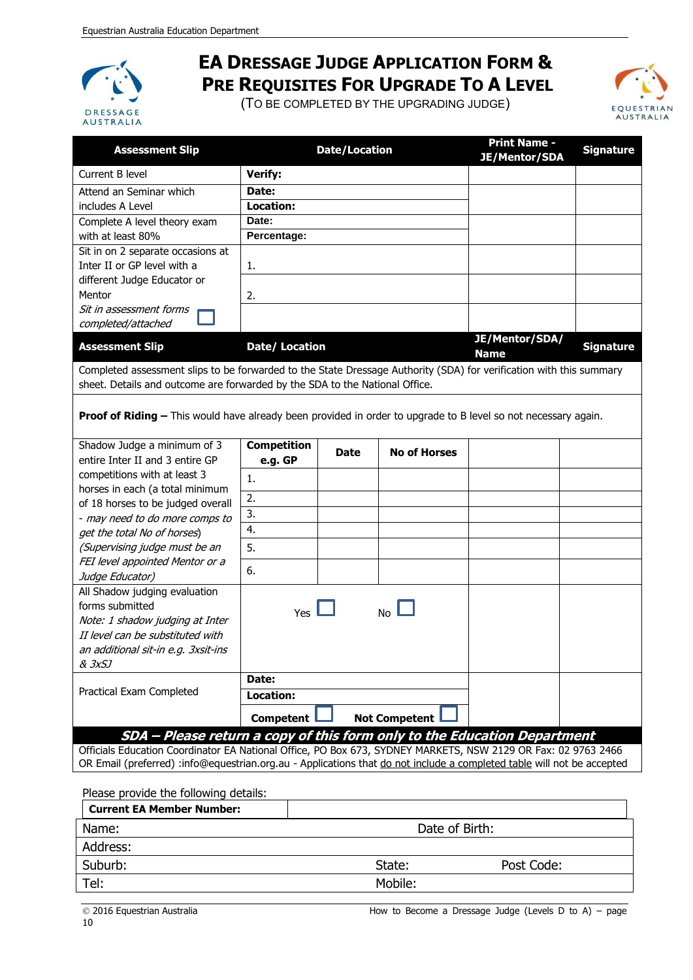

### **EA DRESSAGE JUDGE APPLICATION FORM & PRE REQUISITES FOR UPGRADE TO A LEVEL**

(TO BE COMPLETED BY THE UPGRADING JUDGE)



| <b>Assessment Slip</b>                                                                                                                                                                             | <b>Date/Location</b> |             |                      | <b>Print Name -</b><br><b>JE/Mentor/SDA</b> | <b>Signature</b> |
|----------------------------------------------------------------------------------------------------------------------------------------------------------------------------------------------------|----------------------|-------------|----------------------|---------------------------------------------|------------------|
| Current B level                                                                                                                                                                                    | <b>Verify:</b>       |             |                      |                                             |                  |
| Attend an Seminar which                                                                                                                                                                            | Date:                |             |                      |                                             |                  |
| includes A Level                                                                                                                                                                                   | <b>Location:</b>     |             |                      |                                             |                  |
| Complete A level theory exam                                                                                                                                                                       | Date:                |             |                      |                                             |                  |
| with at least 80%                                                                                                                                                                                  | Percentage:          |             |                      |                                             |                  |
| Sit in on 2 separate occasions at                                                                                                                                                                  |                      |             |                      |                                             |                  |
| Inter II or GP level with a                                                                                                                                                                        | 1.                   |             |                      |                                             |                  |
| different Judge Educator or                                                                                                                                                                        |                      |             |                      |                                             |                  |
| Mentor                                                                                                                                                                                             | 2.                   |             |                      |                                             |                  |
| Sit in assessment forms<br>completed/attached                                                                                                                                                      |                      |             |                      |                                             |                  |
| <b>Assessment Slip</b>                                                                                                                                                                             | Date/ Location       |             |                      | JE/Mentor/SDA/<br><b>Name</b>               | <b>Signature</b> |
| Completed assessment slips to be forwarded to the State Dressage Authority (SDA) for verification with this summary<br>sheet. Details and outcome are forwarded by the SDA to the National Office. |                      |             |                      |                                             |                  |
| <b>Proof of Riding -</b> This would have already been provided in order to upgrade to B level so not necessary again.                                                                              |                      |             |                      |                                             |                  |
| Shadow Judge a minimum of 3                                                                                                                                                                        | <b>Competition</b>   | <b>Date</b> | <b>No of Horses</b>  |                                             |                  |
| entire Inter II and 3 entire GP                                                                                                                                                                    | e.g. GP              |             |                      |                                             |                  |
| competitions with at least 3                                                                                                                                                                       | 1.                   |             |                      |                                             |                  |
| horses in each (a total minimum<br>of 18 horses to be judged overall                                                                                                                               | 2.                   |             |                      |                                             |                  |
| - may need to do more comps to                                                                                                                                                                     | 3.                   |             |                      |                                             |                  |
| get the total No of horses)                                                                                                                                                                        | 4.                   |             |                      |                                             |                  |
| (Supervising judge must be an                                                                                                                                                                      | 5.                   |             |                      |                                             |                  |
| FEI level appointed Mentor or a                                                                                                                                                                    |                      |             |                      |                                             |                  |
| Judge Educator)                                                                                                                                                                                    | 6.                   |             |                      |                                             |                  |
| All Shadow judging evaluation<br>forms submitted<br>Note: 1 shadow judging at Inter                                                                                                                | Yes                  |             | <b>No</b>            |                                             |                  |
| II level can be substituted with                                                                                                                                                                   |                      |             |                      |                                             |                  |
| an additional sit-in e.g. 3xsit-ins                                                                                                                                                                |                      |             |                      |                                             |                  |
| & 3xSJ                                                                                                                                                                                             |                      |             |                      |                                             |                  |
|                                                                                                                                                                                                    | Date:                |             |                      |                                             |                  |
| Practical Exam Completed                                                                                                                                                                           | <b>Location:</b>     |             |                      |                                             |                  |
|                                                                                                                                                                                                    | <b>Competent</b>     |             | <b>Not Competent</b> |                                             |                  |
| SDA - Please return a copy of this form only to the Education Department<br>Officials Education Coordinator EA National Office PO Box 673 SYDNEY MARKETS NSW 2129 OR Eax: 02 9763 2466             |                      |             |                      |                                             |                  |
|                                                                                                                                                                                                    |                      |             |                      |                                             |                  |

Officials Education Coordinator EA National Office, PO Box 673, SYDNEY MARKETS, NSW 2129 OR Fax: 02 9763 2466 OR Email (preferred) :info@equestrian.org.au - Applications that do not include a completed table will not be accepted

Please provide the following details:

| <b>Current EA Member Number:</b> |                |            |
|----------------------------------|----------------|------------|
| Name:                            | Date of Birth: |            |
| Address:                         |                |            |
| Suburb:                          | State:         | Post Code: |
| Tel:                             | Mobile:        |            |
|                                  |                |            |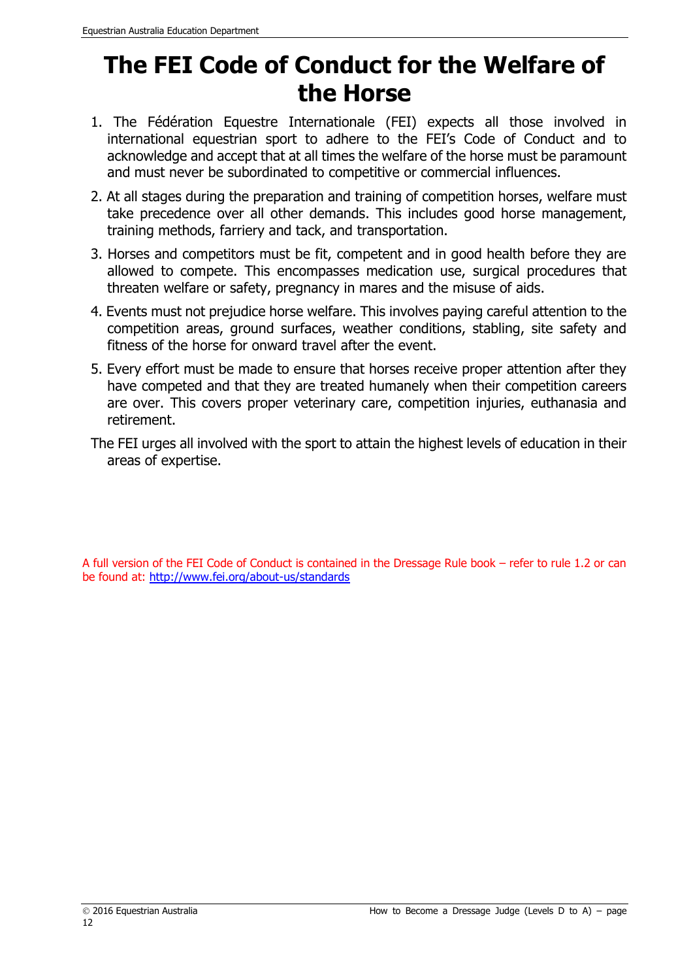### **The FEI Code of Conduct for the Welfare of the Horse**

- 1. The Fédération Equestre Internationale (FEI) expects all those involved in international equestrian sport to adhere to the FEI's Code of Conduct and to acknowledge and accept that at all times the welfare of the horse must be paramount and must never be subordinated to competitive or commercial influences.
- 2. At all stages during the preparation and training of competition horses, welfare must take precedence over all other demands. This includes good horse management, training methods, farriery and tack, and transportation.
- 3. Horses and competitors must be fit, competent and in good health before they are allowed to compete. This encompasses medication use, surgical procedures that threaten welfare or safety, pregnancy in mares and the misuse of aids.
- 4. Events must not prejudice horse welfare. This involves paying careful attention to the competition areas, ground surfaces, weather conditions, stabling, site safety and fitness of the horse for onward travel after the event.
- 5. Every effort must be made to ensure that horses receive proper attention after they have competed and that they are treated humanely when their competition careers are over. This covers proper veterinary care, competition injuries, euthanasia and retirement.
- The FEI urges all involved with the sport to attain the highest levels of education in their areas of expertise.

A full version of the FEI Code of Conduct is contained in the Dressage Rule book – refer to rule 1.2 or can be found at: <http://www.fei.org/about-us/standards>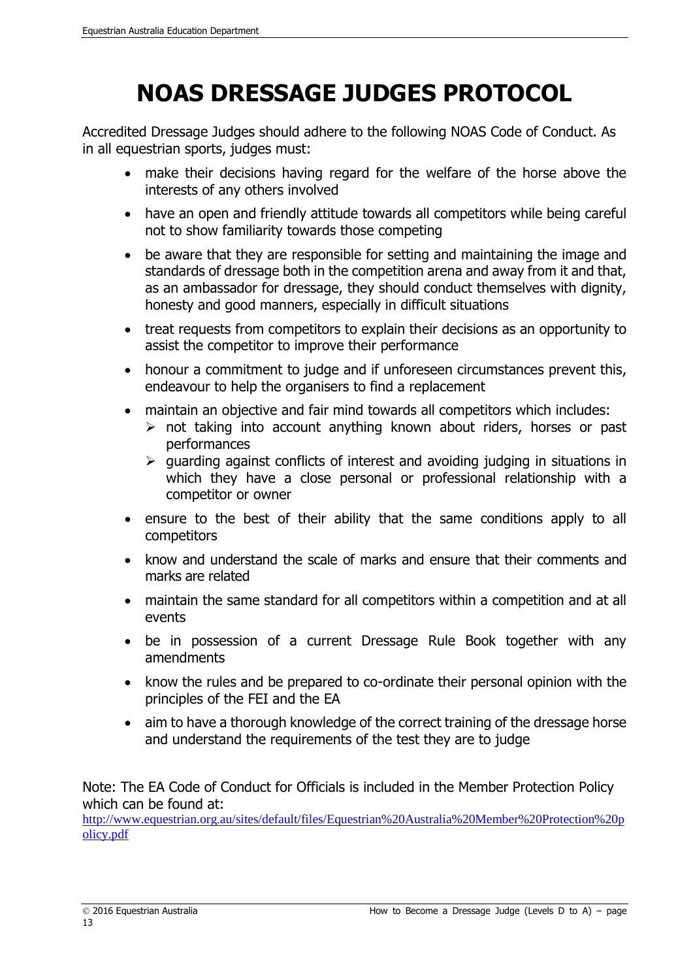## **NOAS DRESSAGE JUDGES PROTOCOL**

Accredited Dressage Judges should adhere to the following NOAS Code of Conduct. As in all equestrian sports, judges must:

- make their decisions having regard for the welfare of the horse above the interests of any others involved
- have an open and friendly attitude towards all competitors while being careful not to show familiarity towards those competing
- be aware that they are responsible for setting and maintaining the image and standards of dressage both in the competition arena and away from it and that, as an ambassador for dressage, they should conduct themselves with dignity, honesty and good manners, especially in difficult situations
- treat requests from competitors to explain their decisions as an opportunity to assist the competitor to improve their performance
- honour a commitment to judge and if unforeseen circumstances prevent this, endeavour to help the organisers to find a replacement
- maintain an objective and fair mind towards all competitors which includes:
	- $\triangleright$  not taking into account anything known about riders, horses or past performances
	- $\triangleright$  guarding against conflicts of interest and avoiding judging in situations in which they have a close personal or professional relationship with a competitor or owner
- ensure to the best of their ability that the same conditions apply to all competitors
- know and understand the scale of marks and ensure that their comments and marks are related
- maintain the same standard for all competitors within a competition and at all events
- be in possession of a current Dressage Rule Book together with any amendments
- know the rules and be prepared to co-ordinate their personal opinion with the principles of the FEI and the EA
- aim to have a thorough knowledge of the correct training of the dressage horse and understand the requirements of the test they are to judge

Note: The EA Code of Conduct for Officials is included in the Member Protection Policy which can be found at:

[http://www.equestrian.org.au/sites/default/files/Equestrian%20Australia%20Member%20Protection%20p](http://www.equestrian.org.au/sites/default/files/Equestrian%20Australia%20Member%20Protection%20policy.pdf) [olicy.pdf](http://www.equestrian.org.au/sites/default/files/Equestrian%20Australia%20Member%20Protection%20policy.pdf)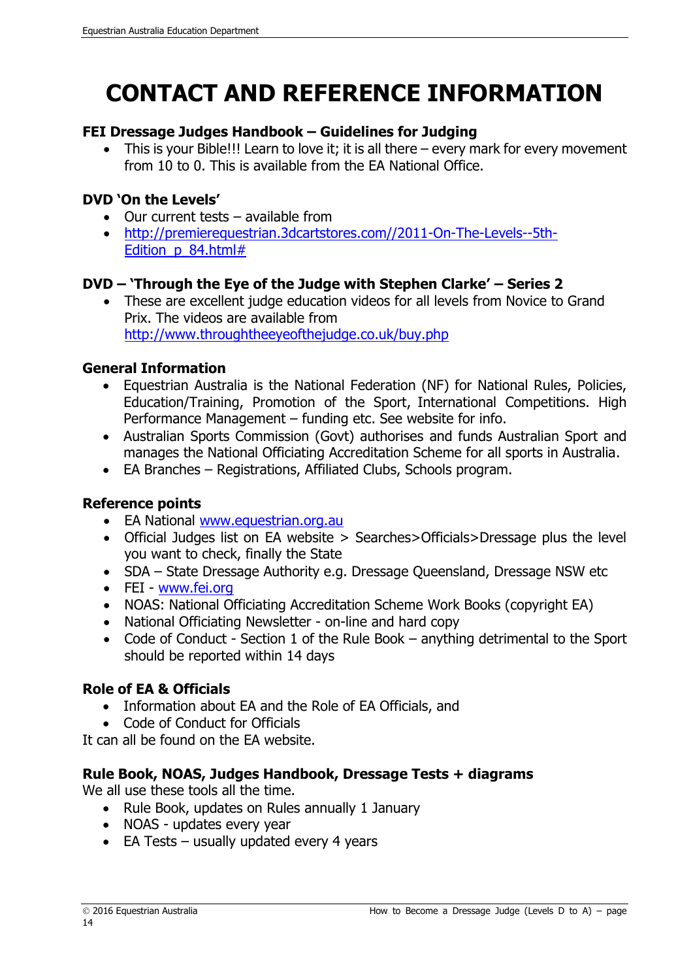# **CONTACT AND REFERENCE INFORMATION**

#### **FEI Dressage Judges Handbook – Guidelines for Judging**

• This is your Bible!!! Learn to love it; it is all there – every mark for every movement from 10 to 0. This is available from the EA National Office.

### **DVD 'On the Levels'**

- Our current tests available from
- [http://premierequestrian.3dcartstores.com//2011-On-The-Levels--5th-](http://premierequestrian.3dcartstores.com/2011-On-The-Levels--5th-Edition_p_84.html)[Edition\\_p\\_84.html#](http://premierequestrian.3dcartstores.com/2011-On-The-Levels--5th-Edition_p_84.html)

### **DVD – 'Through the Eye of the Judge with Stephen Clarke' – Series 2**

• These are excellent judge education videos for all levels from Novice to Grand Prix. The videos are available from <http://www.throughtheeyeofthejudge.co.uk/buy.php>

#### **General Information**

- Equestrian Australia is the National Federation (NF) for National Rules, Policies, Education/Training, Promotion of the Sport, International Competitions. High Performance Management – funding etc. See website for info.
- Australian Sports Commission (Govt) authorises and funds Australian Sport and manages the National Officiating Accreditation Scheme for all sports in Australia.
- EA Branches Registrations, Affiliated Clubs, Schools program.

### **Reference points**

- EA National [www.equestrian.org.au](http://www.equestrian.org.au/)
- Official Judges list on EA website > Searches>Officials>Dressage plus the level you want to check, finally the State
- SDA State Dressage Authority e.g. Dressage Queensland, Dressage NSW etc
- FEI [www.fei.org](http://www.fei.org/)
- NOAS: National Officiating Accreditation Scheme Work Books (copyright EA)
- National Officiating Newsletter on-line and hard copy
- Code of Conduct Section 1 of the Rule Book anything detrimental to the Sport should be reported within 14 days

### **Role of EA & Officials**

- Information about EA and the Role of EA Officials, and
- Code of Conduct for Officials

It can all be found on the EA website.

### **Rule Book, NOAS, Judges Handbook, Dressage Tests + diagrams**

We all use these tools all the time.

- Rule Book, updates on Rules annually 1 January
- NOAS updates every year
- EA Tests usually updated every 4 years